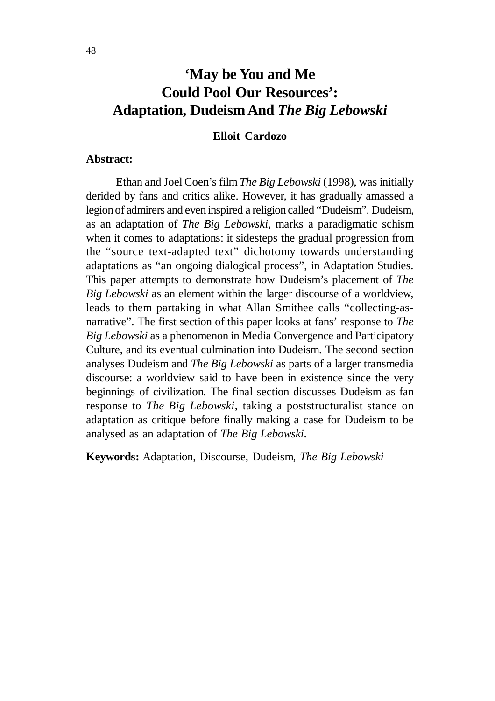# **'May be You and Me Could Pool Our Resources': Adaptation, Dudeism And** *The Big Lebowski*

## **Elloit Cardozo**

#### **Abstract:**

Ethan and Joel Coen's film *The Big Lebowski* (1998), was initially derided by fans and critics alike. However, it has gradually amassed a legion of admirers and even inspired a religion called "Dudeism". Dudeism, as an adaptation of *The Big Lebowski*, marks a paradigmatic schism when it comes to adaptations: it sidesteps the gradual progression from the "source text-adapted text" dichotomy towards understanding adaptations as "an ongoing dialogical process", in Adaptation Studies. This paper attempts to demonstrate how Dudeism's placement of *The Big Lebowski* as an element within the larger discourse of a worldview, leads to them partaking in what Allan Smithee calls "collecting-asnarrative". The first section of this paper looks at fans' response to *The Big Lebowski* as a phenomenon in Media Convergence and Participatory Culture, and its eventual culmination into Dudeism. The second section analyses Dudeism and *The Big Lebowski* as parts of a larger transmedia discourse: a worldview said to have been in existence since the very beginnings of civilization. The final section discusses Dudeism as fan response to *The Big Lebowski*, taking a poststructuralist stance on adaptation as critique before finally making a case for Dudeism to be analysed as an adaptation of *The Big Lebowski*.

**Keywords:** Adaptation, Discourse, Dudeism, *The Big Lebowski*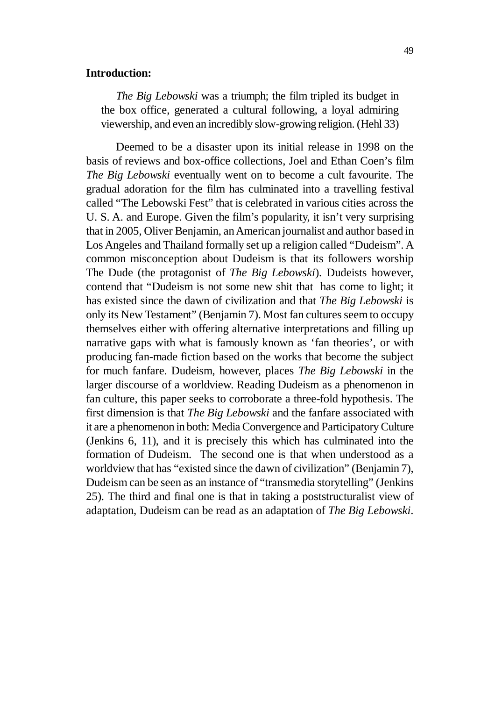#### **Introduction:**

*The Big Lebowski* was a triumph; the film tripled its budget in the box office, generated a cultural following, a loyal admiring viewership, and even an incredibly slow-growing religion. (Hehl 33)

Deemed to be a disaster upon its initial release in 1998 on the basis of reviews and box-office collections, Joel and Ethan Coen's film *The Big Lebowski* eventually went on to become a cult favourite. The gradual adoration for the film has culminated into a travelling festival called "The Lebowski Fest" that is celebrated in various cities across the U. S. A. and Europe. Given the film's popularity, it isn't very surprising that in 2005, Oliver Benjamin, an American journalist and author based in Los Angeles and Thailand formally set up a religion called "Dudeism". A common misconception about Dudeism is that its followers worship The Dude (the protagonist of *The Big Lebowski*). Dudeists however, contend that "Dudeism is not some new shit that has come to light; it has existed since the dawn of civilization and that *The Big Lebowski* is only its New Testament" (Benjamin 7). Most fan cultures seem to occupy themselves either with offering alternative interpretations and filling up narrative gaps with what is famously known as 'fan theories', or with producing fan-made fiction based on the works that become the subject for much fanfare. Dudeism, however, places *The Big Lebowski* in the larger discourse of a worldview. Reading Dudeism as a phenomenon in fan culture, this paper seeks to corroborate a three-fold hypothesis. The first dimension is that *The Big Lebowski* and the fanfare associated with it are a phenomenon in both: Media Convergence and Participatory Culture (Jenkins 6, 11), and it is precisely this which has culminated into the formation of Dudeism. The second one is that when understood as a worldview that has "existed since the dawn of civilization" (Benjamin 7), Dudeism can be seen as an instance of "transmedia storytelling" (Jenkins 25). The third and final one is that in taking a poststructuralist view of adaptation, Dudeism can be read as an adaptation of *The Big Lebowski*.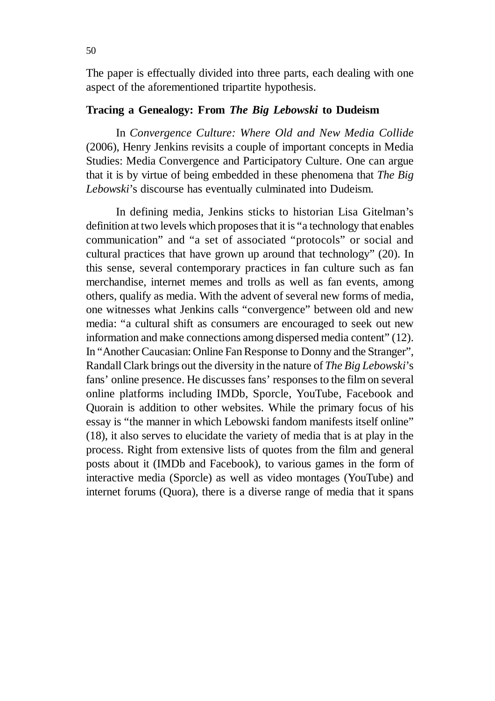The paper is effectually divided into three parts, each dealing with one aspect of the aforementioned tripartite hypothesis.

## **Tracing a Genealogy: From** *The Big Lebowski* **to Dudeism**

In *Convergence Culture: Where Old and New Media Collide* (2006), Henry Jenkins revisits a couple of important concepts in Media Studies: Media Convergence and Participatory Culture. One can argue that it is by virtue of being embedded in these phenomena that *The Big Lebowski*'s discourse has eventually culminated into Dudeism.

In defining media, Jenkins sticks to historian Lisa Gitelman's definition at two levels which proposes that it is "a technology that enables communication" and "a set of associated "protocols" or social and cultural practices that have grown up around that technology" (20). In this sense, several contemporary practices in fan culture such as fan merchandise, internet memes and trolls as well as fan events, among others, qualify as media. With the advent of several new forms of media, one witnesses what Jenkins calls "convergence" between old and new media: "a cultural shift as consumers are encouraged to seek out new information and make connections among dispersed media content" (12). In "Another Caucasian: Online Fan Response to Donny and the Stranger", Randall Clark brings out the diversity in the nature of *The Big Lebowski*'s fans' online presence. He discusses fans' responses to the film on several online platforms including IMDb, Sporcle, YouTube, Facebook and Quorain is addition to other websites. While the primary focus of his essay is "the manner in which Lebowski fandom manifests itself online" (18), it also serves to elucidate the variety of media that is at play in the process. Right from extensive lists of quotes from the film and general posts about it (IMDb and Facebook), to various games in the form of interactive media (Sporcle) as well as video montages (YouTube) and internet forums (Quora), there is a diverse range of media that it spans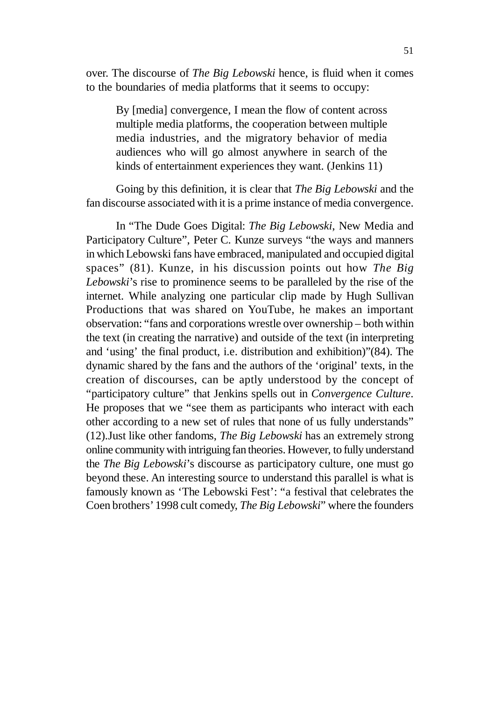over. The discourse of *The Big Lebowski* hence, is fluid when it comes to the boundaries of media platforms that it seems to occupy:

By [media] convergence, I mean the flow of content across multiple media platforms, the cooperation between multiple media industries, and the migratory behavior of media audiences who will go almost anywhere in search of the kinds of entertainment experiences they want. (Jenkins 11)

Going by this definition, it is clear that *The Big Lebowski* and the fan discourse associated with it is a prime instance of media convergence.

In "The Dude Goes Digital: *The Big Lebowski*, New Media and Participatory Culture", Peter C. Kunze surveys "the ways and manners in which Lebowski fans have embraced, manipulated and occupied digital spaces" (81). Kunze, in his discussion points out how *The Big Lebowski*'s rise to prominence seems to be paralleled by the rise of the internet. While analyzing one particular clip made by Hugh Sullivan Productions that was shared on YouTube, he makes an important observation: "fans and corporations wrestle over ownership – both within the text (in creating the narrative) and outside of the text (in interpreting and 'using' the final product, i.e. distribution and exhibition)"(84). The dynamic shared by the fans and the authors of the 'original' texts, in the creation of discourses, can be aptly understood by the concept of "participatory culture" that Jenkins spells out in *Convergence Culture*. He proposes that we "see them as participants who interact with each other according to a new set of rules that none of us fully understands" (12).Just like other fandoms, *The Big Lebowski* has an extremely strong online community with intriguing fan theories. However, to fully understand the *The Big Lebowski*'s discourse as participatory culture, one must go beyond these. An interesting source to understand this parallel is what is famously known as 'The Lebowski Fest': "a festival that celebrates the Coen brothers' 1998 cult comedy, *The Big Lebowski*" where the founders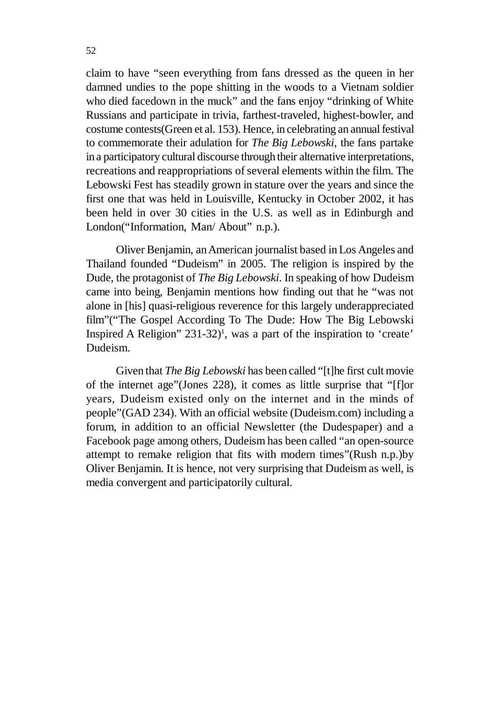claim to have "seen everything from fans dressed as the queen in her damned undies to the pope shitting in the woods to a Vietnam soldier who died facedown in the muck" and the fans enjoy "drinking of White Russians and participate in trivia, farthest-traveled, highest-bowler, and costume contests(Green et al. 153). Hence, in celebrating an annual festival to commemorate their adulation for *The Big Lebowski*, the fans partake in a participatory cultural discourse through their alternative interpretations, recreations and reappropriations of several elements within the film. The Lebowski Fest has steadily grown in stature over the years and since the first one that was held in Louisville, Kentucky in October 2002, it has been held in over 30 cities in the U.S. as well as in Edinburgh and London("Information, Man/ About" n.p.).

Oliver Benjamin, an American journalist based in Los Angeles and Thailand founded "Dudeism" in 2005. The religion is inspired by the Dude, the protagonist of *The Big Lebowski*. In speaking of how Dudeism came into being, Benjamin mentions how finding out that he "was not alone in [his] quasi-religious reverence for this largely underappreciated film"("The Gospel According To The Dude: How The Big Lebowski Inspired A Religion" 231-32)<sup>1</sup> , was a part of the inspiration to 'create' Dudeism.

Given that *The Big Lebowski* has been called "[t]he first cult movie of the internet age"(Jones 228), it comes as little surprise that "[f]or years, Dudeism existed only on the internet and in the minds of people"(GAD 234). With an official website (Dudeism.com) including a forum, in addition to an official Newsletter (the Dudespaper) and a Facebook page among others, Dudeism has been called "an open-source attempt to remake religion that fits with modern times"(Rush n.p.)by Oliver Benjamin. It is hence, not very surprising that Dudeism as well, is media convergent and participatorily cultural.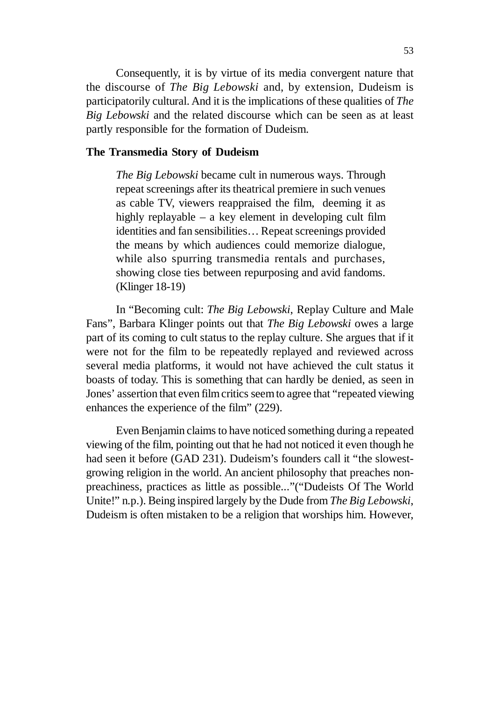Consequently, it is by virtue of its media convergent nature that the discourse of *The Big Lebowski* and, by extension, Dudeism is participatorily cultural. And it is the implications of these qualities of *The Big Lebowski* and the related discourse which can be seen as at least partly responsible for the formation of Dudeism.

#### **The Transmedia Story of Dudeism**

*The Big Lebowski* became cult in numerous ways. Through repeat screenings after its theatrical premiere in such venues as cable TV, viewers reappraised the film, deeming it as highly replayable – a key element in developing cult film identities and fan sensibilities… Repeat screenings provided the means by which audiences could memorize dialogue, while also spurring transmedia rentals and purchases, showing close ties between repurposing and avid fandoms. (Klinger 18-19)

In "Becoming cult: *The Big Lebowski*, Replay Culture and Male Fans", Barbara Klinger points out that *The Big Lebowski* owes a large part of its coming to cult status to the replay culture. She argues that if it were not for the film to be repeatedly replayed and reviewed across several media platforms, it would not have achieved the cult status it boasts of today. This is something that can hardly be denied, as seen in Jones' assertion that even film critics seem to agree that "repeated viewing enhances the experience of the film" (229).

Even Benjamin claims to have noticed something during a repeated viewing of the film, pointing out that he had not noticed it even though he had seen it before (GAD 231). Dudeism's founders call it "the slowestgrowing religion in the world. An ancient philosophy that preaches nonpreachiness, practices as little as possible..."("Dudeists Of The World Unite!" n.p.). Being inspired largely by the Dude from *The Big Lebowski*, Dudeism is often mistaken to be a religion that worships him. However,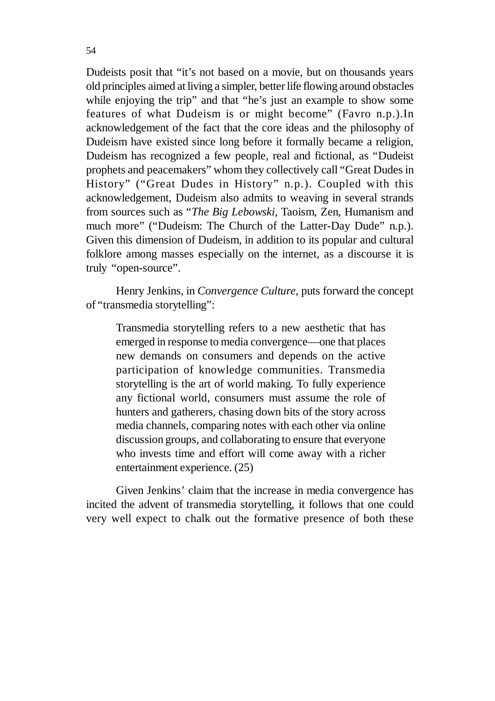Dudeists posit that "it's not based on a movie, but on thousands years old principles aimed at living a simpler, better life flowing around obstacles while enjoying the trip" and that "he's just an example to show some features of what Dudeism is or might become" (Favro n.p.).In acknowledgement of the fact that the core ideas and the philosophy of Dudeism have existed since long before it formally became a religion, Dudeism has recognized a few people, real and fictional, as "Dudeist prophets and peacemakers" whom they collectively call "Great Dudes in History" ("Great Dudes in History" n.p.). Coupled with this acknowledgement, Dudeism also admits to weaving in several strands from sources such as "*The Big Lebowski*, Taoism, Zen, Humanism and much more" ("Dudeism: The Church of the Latter-Day Dude" n.p.). Given this dimension of Dudeism, in addition to its popular and cultural folklore among masses especially on the internet, as a discourse it is truly "open-source".

Henry Jenkins, in *Convergence Culture*, puts forward the concept of "transmedia storytelling":

Transmedia storytelling refers to a new aesthetic that has emerged in response to media convergence—one that places new demands on consumers and depends on the active participation of knowledge communities. Transmedia storytelling is the art of world making. To fully experience any fictional world, consumers must assume the role of hunters and gatherers, chasing down bits of the story across media channels, comparing notes with each other via online discussion groups, and collaborating to ensure that everyone who invests time and effort will come away with a richer entertainment experience. (25)

Given Jenkins' claim that the increase in media convergence has incited the advent of transmedia storytelling, it follows that one could very well expect to chalk out the formative presence of both these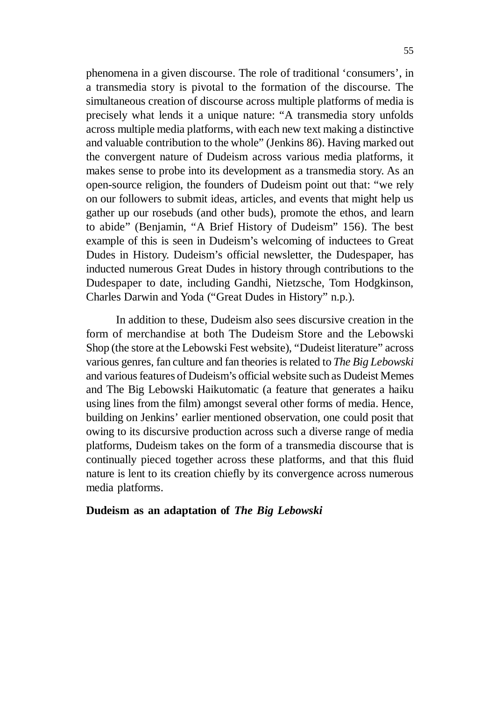phenomena in a given discourse. The role of traditional 'consumers', in a transmedia story is pivotal to the formation of the discourse. The simultaneous creation of discourse across multiple platforms of media is precisely what lends it a unique nature: "A transmedia story unfolds across multiple media platforms, with each new text making a distinctive and valuable contribution to the whole" (Jenkins 86). Having marked out the convergent nature of Dudeism across various media platforms, it makes sense to probe into its development as a transmedia story. As an open-source religion, the founders of Dudeism point out that: "we rely on our followers to submit ideas, articles, and events that might help us gather up our rosebuds (and other buds), promote the ethos, and learn to abide" (Benjamin, "A Brief History of Dudeism" 156). The best example of this is seen in Dudeism's welcoming of inductees to Great Dudes in History. Dudeism's official newsletter, the Dudespaper, has inducted numerous Great Dudes in history through contributions to the Dudespaper to date, including Gandhi, Nietzsche, Tom Hodgkinson, Charles Darwin and Yoda ("Great Dudes in History" n.p.).

In addition to these, Dudeism also sees discursive creation in the form of merchandise at both The Dudeism Store and the Lebowski Shop (the store at the Lebowski Fest website), "Dudeist literature" across various genres, fan culture and fan theories is related to *The Big Lebowski* and various features of Dudeism's official website such as Dudeist Memes and The Big Lebowski Haikutomatic (a feature that generates a haiku using lines from the film) amongst several other forms of media. Hence, building on Jenkins' earlier mentioned observation, one could posit that owing to its discursive production across such a diverse range of media platforms, Dudeism takes on the form of a transmedia discourse that is continually pieced together across these platforms, and that this fluid nature is lent to its creation chiefly by its convergence across numerous media platforms.

#### **Dudeism as an adaptation of** *The Big Lebowski*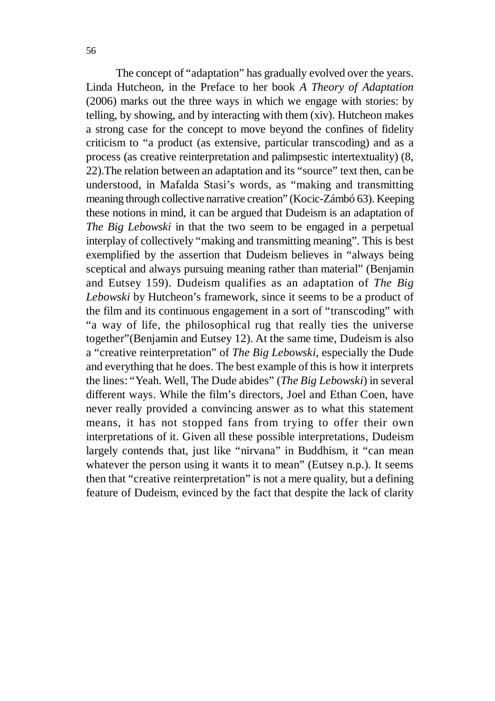The concept of "adaptation" has gradually evolved over the years. Linda Hutcheon, in the Preface to her book *A Theory of Adaptation* (2006) marks out the three ways in which we engage with stories: by telling, by showing, and by interacting with them (xiv). Hutcheon makes a strong case for the concept to move beyond the confines of fidelity criticism to "a product (as extensive, particular transcoding) and as a process (as creative reinterpretation and palimpsestic intertextuality) (8, 22).The relation between an adaptation and its "source" text then, can be understood, in Mafalda Stasi's words, as "making and transmitting meaning through collective narrative creation" (Kocic-Zámbó 63). Keeping these notions in mind, it can be argued that Dudeism is an adaptation of *The Big Lebowski* in that the two seem to be engaged in a perpetual interplay of collectively "making and transmitting meaning". This is best exemplified by the assertion that Dudeism believes in "always being sceptical and always pursuing meaning rather than material" (Benjamin and Eutsey 159). Dudeism qualifies as an adaptation of *The Big Lebowski* by Hutcheon's framework, since it seems to be a product of the film and its continuous engagement in a sort of "transcoding" with "a way of life, the philosophical rug that really ties the universe together"(Benjamin and Eutsey 12). At the same time, Dudeism is also a "creative reinterpretation" of *The Big Lebowski*, especially the Dude and everything that he does. The best example of this is how it interprets the lines: "Yeah. Well, The Dude abides" (*The Big Lebowski*) in several different ways. While the film's directors, Joel and Ethan Coen, have never really provided a convincing answer as to what this statement means, it has not stopped fans from trying to offer their own interpretations of it. Given all these possible interpretations, Dudeism largely contends that, just like "nirvana" in Buddhism, it "can mean whatever the person using it wants it to mean" (Eutsey n.p.). It seems then that "creative reinterpretation" is not a mere quality, but a defining feature of Dudeism, evinced by the fact that despite the lack of clarity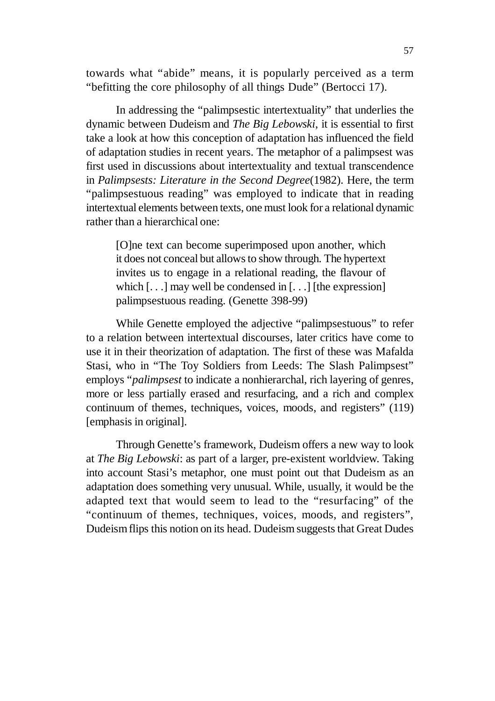towards what "abide" means, it is popularly perceived as a term "befitting the core philosophy of all things Dude" (Bertocci 17).

In addressing the "palimpsestic intertextuality" that underlies the dynamic between Dudeism and *The Big Lebowski*, it is essential to first take a look at how this conception of adaptation has influenced the field of adaptation studies in recent years. The metaphor of a palimpsest was first used in discussions about intertextuality and textual transcendence in *Palimpsests: Literature in the Second Degree*(1982). Here, the term "palimpsestuous reading" was employed to indicate that in reading intertextual elements between texts, one must look for a relational dynamic rather than a hierarchical one:

[O]ne text can become superimposed upon another, which it does not conceal but allows to show through. The hypertext invites us to engage in a relational reading, the flavour of which  $[...]$  may well be condensed in  $[...]$  [the expression] palimpsestuous reading. (Genette 398-99)

While Genette employed the adjective "palimpsestuous" to refer to a relation between intertextual discourses, later critics have come to use it in their theorization of adaptation. The first of these was Mafalda Stasi, who in "The Toy Soldiers from Leeds: The Slash Palimpsest" employs "*palimpsest* to indicate a nonhierarchal, rich layering of genres, more or less partially erased and resurfacing, and a rich and complex continuum of themes, techniques, voices, moods, and registers" (119) [emphasis in original].

Through Genette's framework, Dudeism offers a new way to look at *The Big Lebowski*: as part of a larger, pre-existent worldview. Taking into account Stasi's metaphor, one must point out that Dudeism as an adaptation does something very unusual. While, usually, it would be the adapted text that would seem to lead to the "resurfacing" of the "continuum of themes, techniques, voices, moods, and registers", Dudeism flips this notion on its head. Dudeism suggests that Great Dudes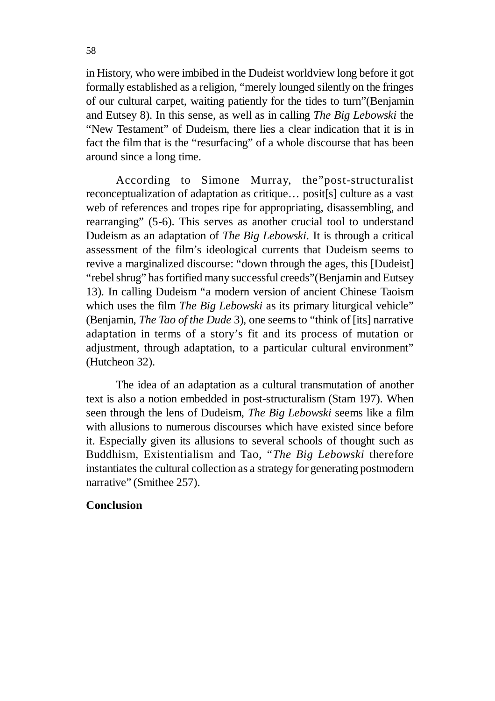in History, who were imbibed in the Dudeist worldview long before it got formally established as a religion, "merely lounged silently on the fringes of our cultural carpet, waiting patiently for the tides to turn"(Benjamin and Eutsey 8). In this sense, as well as in calling *The Big Lebowski* the "New Testament" of Dudeism, there lies a clear indication that it is in fact the film that is the "resurfacing" of a whole discourse that has been around since a long time.

According to Simone Murray, the"post-structuralist reconceptualization of adaptation as critique… posit[s] culture as a vast web of references and tropes ripe for appropriating, disassembling, and rearranging" (5-6). This serves as another crucial tool to understand Dudeism as an adaptation of *The Big Lebowski*. It is through a critical assessment of the film's ideological currents that Dudeism seems to revive a marginalized discourse: "down through the ages, this [Dudeist] "rebel shrug" has fortified many successful creeds"(Benjamin and Eutsey 13). In calling Dudeism "a modern version of ancient Chinese Taoism which uses the film *The Big Lebowski* as its primary liturgical vehicle" (Benjamin, *The Tao of the Dude* 3), one seems to "think of [its] narrative adaptation in terms of a story's fit and its process of mutation or adjustment, through adaptation, to a particular cultural environment" (Hutcheon 32).

The idea of an adaptation as a cultural transmutation of another text is also a notion embedded in post-structuralism (Stam 197). When seen through the lens of Dudeism, *The Big Lebowski* seems like a film with allusions to numerous discourses which have existed since before it. Especially given its allusions to several schools of thought such as Buddhism, Existentialism and Tao, "*The Big Lebowski* therefore instantiates the cultural collection as a strategy for generating postmodern narrative" (Smithee 257).

# **Conclusion**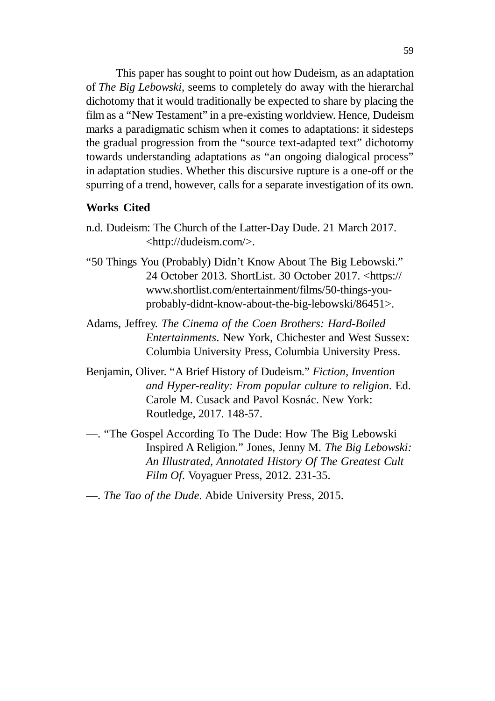This paper has sought to point out how Dudeism, as an adaptation of *The Big Lebowski*, seems to completely do away with the hierarchal dichotomy that it would traditionally be expected to share by placing the film as a "New Testament" in a pre-existing worldview. Hence, Dudeism marks a paradigmatic schism when it comes to adaptations: it sidesteps the gradual progression from the "source text-adapted text" dichotomy towards understanding adaptations as "an ongoing dialogical process" in adaptation studies. Whether this discursive rupture is a one-off or the spurring of a trend, however, calls for a separate investigation of its own.

## **Works Cited**

- n.d. Dudeism: The Church of the Latter-Day Dude. 21 March 2017. <http://dudeism.com/>.
- "50 Things You (Probably) Didn't Know About The Big Lebowski." 24 October 2013. ShortList. 30 October 2017. <https:// www.shortlist.com/entertainment/films/50-things-youprobably-didnt-know-about-the-big-lebowski/86451>.
- Adams, Jeffrey. *The Cinema of the Coen Brothers: Hard-Boiled Entertainments*. New York, Chichester and West Sussex: Columbia University Press, Columbia University Press.
- Benjamin, Oliver. "A Brief History of Dudeism." *Fiction, Invention and Hyper-reality: From popular culture to religion*. Ed. Carole M. Cusack and Pavol Kosnác. New York: Routledge, 2017. 148-57.
- —. "The Gospel According To The Dude: How The Big Lebowski Inspired A Religion." Jones, Jenny M. *The Big Lebowski: An Illustrated, Annotated History Of The Greatest Cult Film Of*. Voyaguer Press, 2012. 231-35.

## —. *The Tao of the Dude*. Abide University Press, 2015.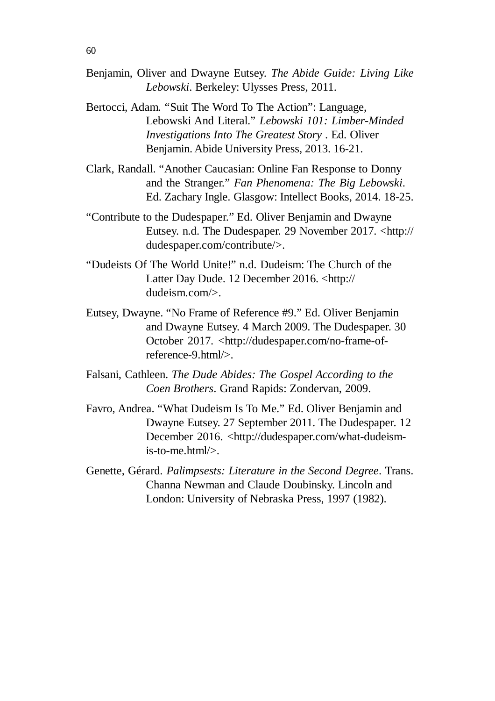- Benjamin, Oliver and Dwayne Eutsey. *The Abide Guide: Living Like Lebowski*. Berkeley: Ulysses Press, 2011.
- Bertocci, Adam. "Suit The Word To The Action": Language, Lebowski And Literal." *Lebowski 101: Limber-Minded Investigations Into The Greatest Story* . Ed. Oliver Benjamin. Abide University Press, 2013. 16-21.
- Clark, Randall. "Another Caucasian: Online Fan Response to Donny and the Stranger." *Fan Phenomena: The Big Lebowski*. Ed. Zachary Ingle. Glasgow: Intellect Books, 2014. 18-25.
- "Contribute to the Dudespaper." Ed. Oliver Benjamin and Dwayne Eutsey. n.d. The Dudespaper. 29 November 2017. <http:// dudespaper.com/contribute/>.
- "Dudeists Of The World Unite!" n.d. Dudeism: The Church of the Latter Day Dude. 12 December 2016. <http:// dudeism.com/>.
- Eutsey, Dwayne. "No Frame of Reference #9." Ed. Oliver Benjamin and Dwayne Eutsey. 4 March 2009. The Dudespaper. 30 October 2017. <http://dudespaper.com/no-frame-ofreference-9.html/>.
- Falsani, Cathleen. *The Dude Abides: The Gospel According to the Coen Brothers*. Grand Rapids: Zondervan, 2009.
- Favro, Andrea. "What Dudeism Is To Me." Ed. Oliver Benjamin and Dwayne Eutsey. 27 September 2011. The Dudespaper. 12 December 2016. <http://dudespaper.com/what-dudeismis-to-me.html/>.
- Genette, Gérard. *Palimpsests: Literature in the Second Degree*. Trans. Channa Newman and Claude Doubinsky. Lincoln and London: University of Nebraska Press, 1997 (1982).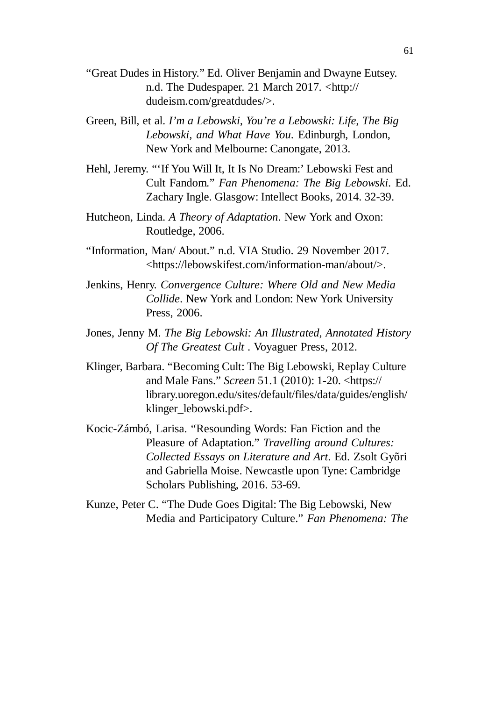- "Great Dudes in History." Ed. Oliver Benjamin and Dwayne Eutsey. n.d. The Dudespaper. 21 March 2017. <http:// dudeism.com/greatdudes/>.
- Green, Bill, et al. *I'm a Lebowski, You're a Lebowski: Life, The Big Lebowski, and What Have You*. Edinburgh, London, New York and Melbourne: Canongate, 2013.
- Hehl, Jeremy. "'If You Will It, It Is No Dream:' Lebowski Fest and Cult Fandom." *Fan Phenomena: The Big Lebowski*. Ed. Zachary Ingle. Glasgow: Intellect Books, 2014. 32-39.
- Hutcheon, Linda. *A Theory of Adaptation*. New York and Oxon: Routledge, 2006.
- "Information, Man/ About." n.d. VIA Studio. 29 November 2017. <https://lebowskifest.com/information-man/about/>.
- Jenkins, Henry. *Convergence Culture: Where Old and New Media Collide*. New York and London: New York University Press, 2006.
- Jones, Jenny M. *The Big Lebowski: An Illustrated, Annotated History Of The Greatest Cult* . Voyaguer Press, 2012.
- Klinger, Barbara. "Becoming Cult: The Big Lebowski, Replay Culture and Male Fans." *Screen* 51.1 (2010): 1-20. <https:// library.uoregon.edu/sites/default/files/data/guides/english/ klinger\_lebowski.pdf>.
- Kocic-Zámbó, Larisa. "Resounding Words: Fan Fiction and the Pleasure of Adaptation." *Travelling around Cultures: Collected Essays on Literature and Art*. Ed. Zsolt Gyõri and Gabriella Moise. Newcastle upon Tyne: Cambridge Scholars Publishing, 2016. 53-69.
- Kunze, Peter C. "The Dude Goes Digital: The Big Lebowski, New Media and Participatory Culture." *Fan Phenomena: The*